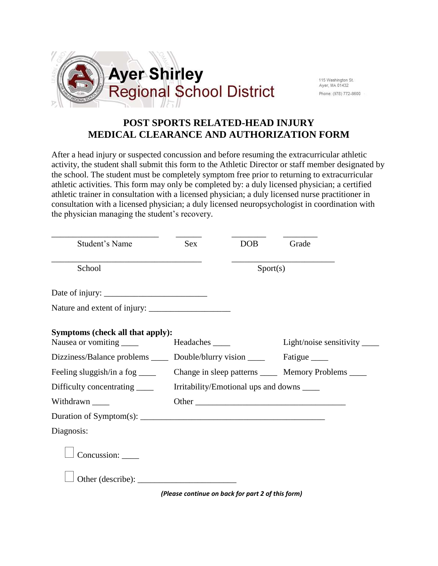

115 Washington St. Ayer, MA 01432 Phone: (978) 772-8600

## **POST SPORTS RELATED-HEAD INJURY MEDICAL CLEARANCE AND AUTHORIZATION FORM**

After a head injury or suspected concussion and before resuming the extracurricular athletic activity, the student shall submit this form to the Athletic Director or staff member designated by the school. The student must be completely symptom free prior to returning to extracurricular athletic activities. This form may only be completed by: a duly licensed physician; a certified athletic trainer in consultation with a licensed physician; a duly licensed nurse practitioner in consultation with a licensed physician; a duly licensed neuropsychologist in coordination with the physician managing the student's recovery.

| Student's Name                                                | <b>Sex</b>                                            | <b>DOB</b> | Grade                          |
|---------------------------------------------------------------|-------------------------------------------------------|------------|--------------------------------|
| School                                                        | Sports)                                               |            |                                |
|                                                               |                                                       |            |                                |
|                                                               |                                                       |            |                                |
| Symptoms (check all that apply):<br>Nausea or vomiting ______ | Headaches _____                                       |            | Light/noise sensitivity $\_\_$ |
| Dizziness/Balance problems ______ Double/blurry vision _____  |                                                       |            | Fatigue _______                |
| Feeling sluggish/in a fog $\frac{ }{ }$                       | Change in sleep patterns ______ Memory Problems _____ |            |                                |
| Difficulty concentrating ______                               | Irritability/Emotional ups and downs                  |            |                                |
| Withdrawn _______                                             |                                                       |            | Other                          |
|                                                               |                                                       |            |                                |
| Diagnosis:                                                    |                                                       |            |                                |
| Concussion:                                                   |                                                       |            |                                |
|                                                               |                                                       |            |                                |

*(Please continue on back for part 2 of this form)*